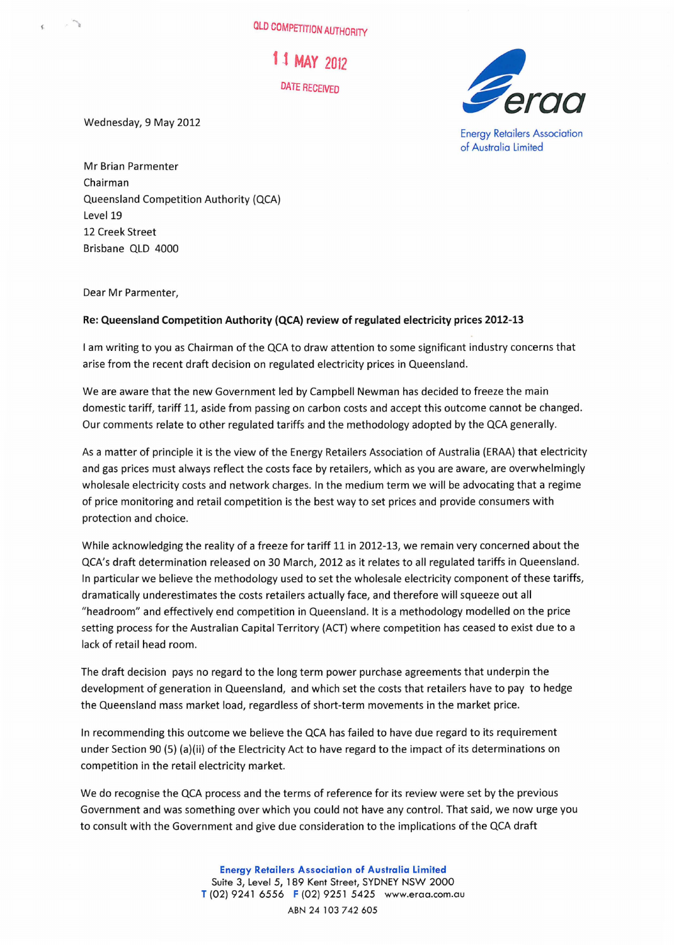OLD COMPETITION AUTHORITY

l .t **MAY** 20t2 DATE RECEIVED

Wednesday, 9 May 2012

.'}



Energy Retailers Association of Australia limited

Mr Brian Parmenter Chairman Queensland Competition Authority (QCA) Level 19 12 Creek Street Brisbane QLD 4000

Dear Mr Parmenter,

## Re: Queensland Competition Authority (QCA) review of regulated electricity prices 2012-13

I am writing to you as Chairman of the QCA to draw attention to some significant industry concerns that arise from the recent draft decision on regulated electricity prices in Queensland.

We are aware that the new Government led by Campbell Newman has decided to freeze the main domestic tariff, tariff 11, aside from passing on carbon costs and accept this outcome cannot be changed. Our comments relate to other regulated tariffs and the methodology adopted by the QCA generally.

As a matter of principle it is the view of the Energy Retailers Association of Australia (ERAA) that electricity and gas prices must always reflect the costs face by retailers, which as you are aware, are overwhelmingly wholesale electricity costs and network charges. In the medium term we will be advocating that a regime of price monitoring and retail competition is the best way to set prices and provide consumers with protection and choice.

While acknowledging the reality of a freeze for tariff 11 in 2012-13, we remain very concerned about the QCA's draft determination released on 30 March, 2012 as it relates to all regulated tariffs in Queensland. In particular we believe the methodology used to set the wholesale electricity component of these tariffs, dramatically underestimates the costs retailers actually face, and therefore will squeeze out all "headroom" and effectively end competition in Queensland. It is a methodology modelled on the price setting process for the Australian Capital Territory (ACT) where competition has ceased to exist due to a lack of retail head room.

The draft decision pays no regard to the long term power purchase agreements that underpin the development of generation in Queensland, and which set the costs that retailers have to pay to hedge the Queensland mass market load, regardless of short-term movements in the market price.

In recommending this outcome we believe the QCA has failed to have due regard to its requirement under Section 90 (5) (a)(ii) of the Electricity Act to have regard to the impact of its determinations on competition in the retail electricity market.

We do recognise the QCA process and the terms of reference for its review were set by the previous Government and was something over which you could not have any control. That said, we now urge you to consult with the Government and give due consideration to the implications of the QCA draft

> Energy Retailers Association of Australia Limited Suite 3, Level 5, 189 Kent Street, SYDNEY NSW 2000 T (02) 9241 6556 F (02) 9251 5425 www.eroo.com.ou ABN 24 103 742 605